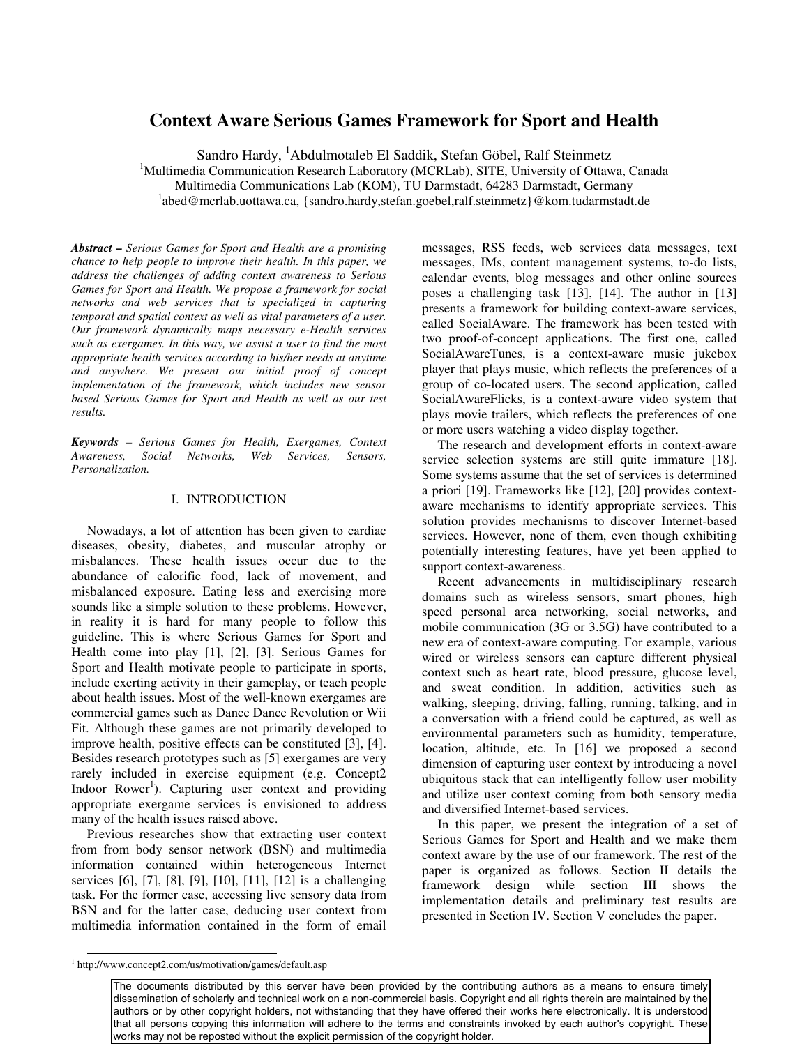# **Context Aware Serious Games Framework for Sport and Health**

Sandro Hardy, <sup>1</sup>Abdulmotaleb El Saddik, Stefan Göbel, Ralf Steinmetz

<sup>1</sup>Multimedia Communication Research Laboratory (MCRLab), SITE, University of Ottawa, Canada Multimedia Communications Lab (KOM), TU Darmstadt, 64283 Darmstadt, Germany

<sup>1</sup>abed@mcrlab.uottawa.ca, {sandro.hardy,stefan.goebel,ralf.steinmetz}@kom.tudarmstadt.de

*Abstract – Serious Games for Sport and Health are a promising chance to help people to improve their health. In this paper, we address the challenges of adding context awareness to Serious Games for Sport and Health. We propose a framework for social networks and web services that is specialized in capturing temporal and spatial context as well as vital parameters of a user. Our framework dynamically maps necessary e-Health services such as exergames. In this way, we assist a user to find the most appropriate health services according to his/her needs at anytime and anywhere. We present our initial proof of concept implementation of the framework, which includes new sensor based Serious Games for Sport and Health as well as our test results.* 

*Keywords – Serious Games for Health, Exergames, Context Awareness, Social Networks, Web Services, Sensors, Personalization.* 

## I. INTRODUCTION

Nowadays, a lot of attention has been given to cardiac diseases, obesity, diabetes, and muscular atrophy or misbalances. These health issues occur due to the abundance of calorific food, lack of movement, and misbalanced exposure. Eating less and exercising more sounds like a simple solution to these problems. However, in reality it is hard for many people to follow this guideline. This is where Serious Games for Sport and Health come into play [1], [2], [3]. Serious Games for Sport and Health motivate people to participate in sports, include exerting activity in their gameplay, or teach people about health issues. Most of the well-known exergames are commercial games such as Dance Dance Revolution or Wii Fit. Although these games are not primarily developed to improve health, positive effects can be constituted [3], [4]. Besides research prototypes such as [5] exergames are very rarely included in exercise equipment (e.g. Concept2 Indoor  $Power<sup>1</sup>$ ). Capturing user context and providing appropriate exergame services is envisioned to address many of the health issues raised above.

Previous researches show that extracting user context from from body sensor network (BSN) and multimedia information contained within heterogeneous Internet services [6], [7], [8], [9], [10], [11], [12] is a challenging task. For the former case, accessing live sensory data from BSN and for the latter case, deducing user context from multimedia information contained in the form of email

messages, RSS feeds, web services data messages, text messages, IMs, content management systems, to-do lists, calendar events, blog messages and other online sources poses a challenging task [13], [14]. The author in [13] presents a framework for building context-aware services, called SocialAware. The framework has been tested with two proof-of-concept applications. The first one, called SocialAwareTunes, is a context-aware music jukebox player that plays music, which reflects the preferences of a group of co-located users. The second application, called SocialAwareFlicks, is a context-aware video system that plays movie trailers, which reflects the preferences of one or more users watching a video display together.

The research and development efforts in context-aware service selection systems are still quite immature [18]. Some systems assume that the set of services is determined a priori [19]. Frameworks like [12], [20] provides contextaware mechanisms to identify appropriate services. This solution provides mechanisms to discover Internet-based services. However, none of them, even though exhibiting potentially interesting features, have yet been applied to support context-awareness.

Recent advancements in multidisciplinary research domains such as wireless sensors, smart phones, high speed personal area networking, social networks, and mobile communication (3G or 3.5G) have contributed to a new era of context-aware computing. For example, various wired or wireless sensors can capture different physical context such as heart rate, blood pressure, glucose level, and sweat condition. In addition, activities such as walking, sleeping, driving, falling, running, talking, and in a conversation with a friend could be captured, as well as environmental parameters such as humidity, temperature, location, altitude, etc. In [16] we proposed a second dimension of capturing user context by introducing a novel ubiquitous stack that can intelligently follow user mobility and utilize user context coming from both sensory media and diversified Internet-based services.

In this paper, we present the integration of a set of Serious Games for Sport and Health and we make them context aware by the use of our framework. The rest of the paper is organized as follows. Section II details the framework design while section III shows the implementation details and preliminary test results are presented in Section IV. Section V concludes the paper.

 $\overline{a}$ 

<sup>1</sup> http://www.concept2.com/us/motivation/games/default.asp

The documents distributed by this server have been provided by the contributing authors as a means to ensure timely dissemination of scholarly and technical work on a non-commercial basis. Copyright and all rights therein are maintained by the authors or by other copyright holders, not withstanding that they have offered their works here electronically. It is understood that all persons copying this information will adhere to the terms and constraints invoked by each author's copyright. These works may not be reposted without the explicit permission of the copyright holder.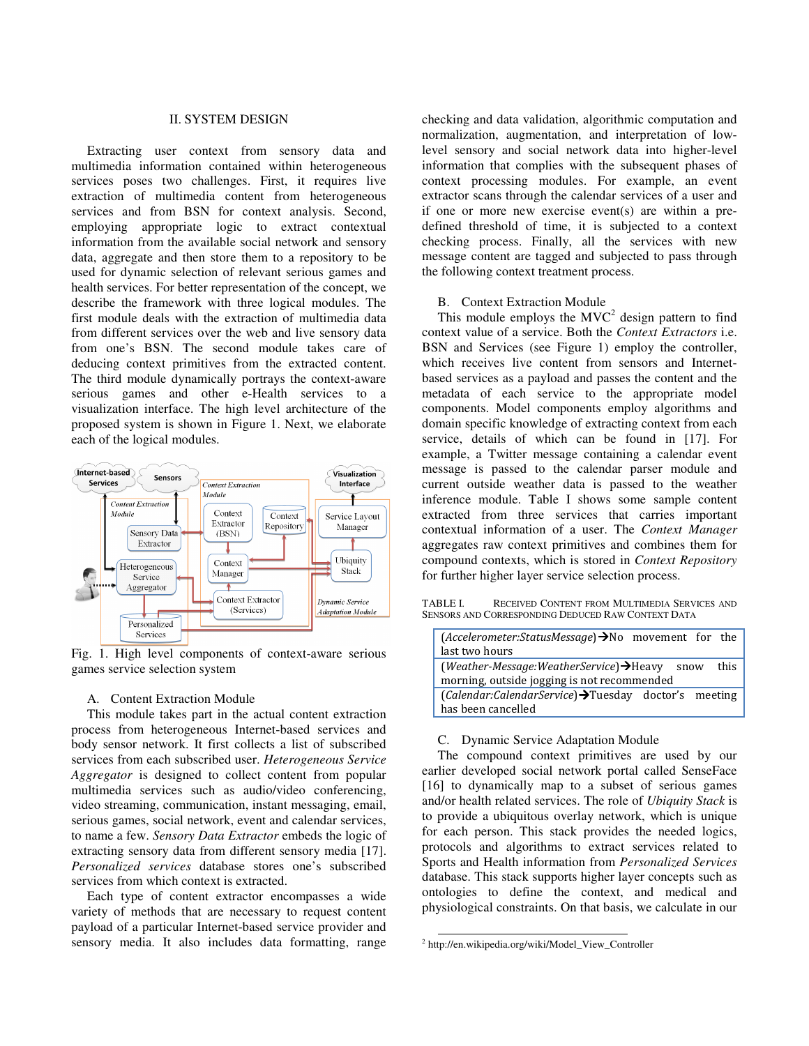### II. SYSTEM DESIGN

Extracting user context from sensory data and multimedia information contained within heterogeneous services poses two challenges. First, it requires live extraction of multimedia content from heterogeneous services and from BSN for context analysis. Second, employing appropriate logic to extract contextual information from the available social network and sensory data, aggregate and then store them to a repository to be used for dynamic selection of relevant serious games and health services. For better representation of the concept, we describe the framework with three logical modules. The first module deals with the extraction of multimedia data from different services over the web and live sensory data from one's BSN. The second module takes care of deducing context primitives from the extracted content. The third module dynamically portrays the context-aware serious games and other e-Health services to a visualization interface. The high level architecture of the proposed system is shown in Figure 1. Next, we elaborate each of the logical modules.



Fig. 1. High level components of context-aware serious games service selection system

## A. Content Extraction Module

This module takes part in the actual content extraction process from heterogeneous Internet-based services and body sensor network. It first collects a list of subscribed services from each subscribed user. *Heterogeneous Service Aggregator* is designed to collect content from popular multimedia services such as audio/video conferencing, video streaming, communication, instant messaging, email, serious games, social network, event and calendar services, to name a few. *Sensory Data Extractor* embeds the logic of extracting sensory data from different sensory media [17]. *Personalized services* database stores one's subscribed services from which context is extracted.

Each type of content extractor encompasses a wide variety of methods that are necessary to request content payload of a particular Internet-based service provider and sensory media. It also includes data formatting, range

checking and data validation, algorithmic computation and normalization, augmentation, and interpretation of lowlevel sensory and social network data into higher-level information that complies with the subsequent phases of context processing modules. For example, an event extractor scans through the calendar services of a user and if one or more new exercise event(s) are within a predefined threshold of time, it is subjected to a context checking process. Finally, all the services with new message content are tagged and subjected to pass through the following context treatment process.

## B. Context Extraction Module

This module employs the  $MVC^2$  design pattern to find context value of a service. Both the *Context Extractors* i.e. BSN and Services (see Figure 1) employ the controller, which receives live content from sensors and Internetbased services as a payload and passes the content and the metadata of each service to the appropriate model components. Model components employ algorithms and domain specific knowledge of extracting context from each service, details of which can be found in [17]. For example, a Twitter message containing a calendar event message is passed to the calendar parser module and current outside weather data is passed to the weather inference module. Table I shows some sample content extracted from three services that carries important contextual information of a user. The *Context Manager* aggregates raw context primitives and combines them for compound contexts, which is stored in *Context Repository* for further higher layer service selection process.

TABLE I. RECEIVED CONTENT FROM MULTIMEDIA SERVICES AND SENSORS AND CORRESPONDING DEDUCED RAW CONTEXT DATA

| $(Accelerometer: StatusMessage) \rightarrow No$ movement for the  |      |  |      |
|-------------------------------------------------------------------|------|--|------|
| last two hours                                                    |      |  |      |
| $(Weather-Message: WeatherService) \rightarrow Heavy$             | snow |  | this |
| morning, outside jogging is not recommended                       |      |  |      |
| $(Calendar:CalendarService) \rightarrow Tuesday$ doctor's meeting |      |  |      |
| has been cancelled                                                |      |  |      |

## C. Dynamic Service Adaptation Module

The compound context primitives are used by our earlier developed social network portal called SenseFace [16] to dynamically map to a subset of serious games and/or health related services. The role of *Ubiquity Stack* is to provide a ubiquitous overlay network, which is unique for each person. This stack provides the needed logics, protocols and algorithms to extract services related to Sports and Health information from *Personalized Services* database. This stack supports higher layer concepts such as ontologies to define the context, and medical and physiological constraints. On that basis, we calculate in our

-

<sup>&</sup>lt;sup>2</sup> http://en.wikipedia.org/wiki/Model\_View\_Controller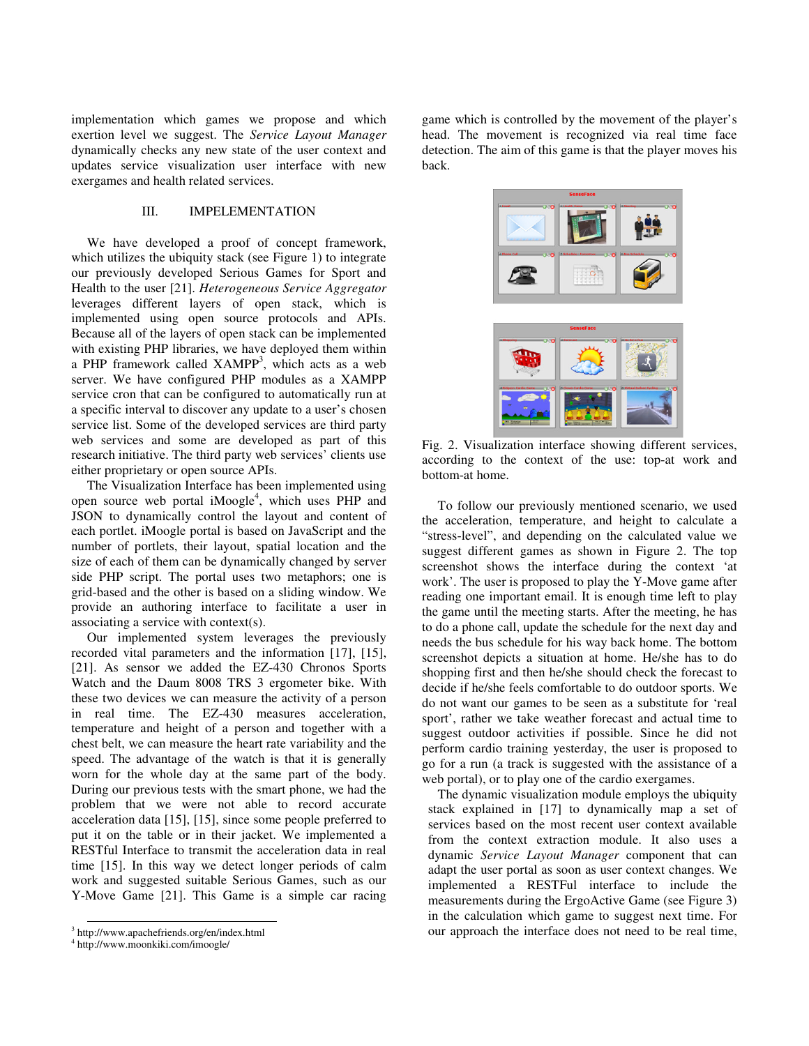implementation which games we propose and which exertion level we suggest. The *Service Layout Manager* dynamically checks any new state of the user context and updates service visualization user interface with new exergames and health related services.

## III. IMPELEMENTATION

We have developed a proof of concept framework, which utilizes the ubiquity stack (see Figure 1) to integrate our previously developed Serious Games for Sport and Health to the user [21]. *Heterogeneous Service Aggregator* leverages different layers of open stack, which is implemented using open source protocols and APIs. Because all of the layers of open stack can be implemented with existing PHP libraries, we have deployed them within a PHP framework called  $XAMP<sup>3</sup>$ , which acts as a web server. We have configured PHP modules as a XAMPP service cron that can be configured to automatically run at a specific interval to discover any update to a user's chosen service list. Some of the developed services are third party web services and some are developed as part of this research initiative. The third party web services' clients use either proprietary or open source APIs.

The Visualization Interface has been implemented using open source web portal iMoogle<sup>4</sup>, which uses PHP and JSON to dynamically control the layout and content of each portlet. iMoogle portal is based on JavaScript and the number of portlets, their layout, spatial location and the size of each of them can be dynamically changed by server side PHP script. The portal uses two metaphors; one is grid-based and the other is based on a sliding window. We provide an authoring interface to facilitate a user in associating a service with context(s).

Our implemented system leverages the previously recorded vital parameters and the information [17], [15], [21]. As sensor we added the EZ-430 Chronos Sports Watch and the Daum 8008 TRS 3 ergometer bike. With these two devices we can measure the activity of a person in real time. The EZ-430 measures acceleration, temperature and height of a person and together with a chest belt, we can measure the heart rate variability and the speed. The advantage of the watch is that it is generally worn for the whole day at the same part of the body. During our previous tests with the smart phone, we had the problem that we were not able to record accurate acceleration data [15], [15], since some people preferred to put it on the table or in their jacket. We implemented a RESTful Interface to transmit the acceleration data in real time [15]. In this way we detect longer periods of calm work and suggested suitable Serious Games, such as our Y-Move Game [21]. This Game is a simple car racing

game which is controlled by the movement of the player's head. The movement is recognized via real time face detection. The aim of this game is that the player moves his back.



Fig. 2. Visualization interface showing different services, according to the context of the use: top-at work and bottom-at home.

To follow our previously mentioned scenario, we used the acceleration, temperature, and height to calculate a "stress-level", and depending on the calculated value we suggest different games as shown in Figure 2. The top screenshot shows the interface during the context 'at work'. The user is proposed to play the Y-Move game after reading one important email. It is enough time left to play the game until the meeting starts. After the meeting, he has to do a phone call, update the schedule for the next day and needs the bus schedule for his way back home. The bottom screenshot depicts a situation at home. He/she has to do shopping first and then he/she should check the forecast to decide if he/she feels comfortable to do outdoor sports. We do not want our games to be seen as a substitute for 'real sport', rather we take weather forecast and actual time to suggest outdoor activities if possible. Since he did not perform cardio training yesterday, the user is proposed to go for a run (a track is suggested with the assistance of a web portal), or to play one of the cardio exergames.

The dynamic visualization module employs the ubiquity stack explained in [17] to dynamically map a set of services based on the most recent user context available from the context extraction module. It also uses a dynamic *Service Layout Manager* component that can adapt the user portal as soon as user context changes. We implemented a RESTFul interface to include the measurements during the ErgoActive Game (see Figure 3) in the calculation which game to suggest next time. For our approach the interface does not need to be real time,

 3 http://www.apachefriends.org/en/index.html

<sup>4</sup> http://www.moonkiki.com/imoogle/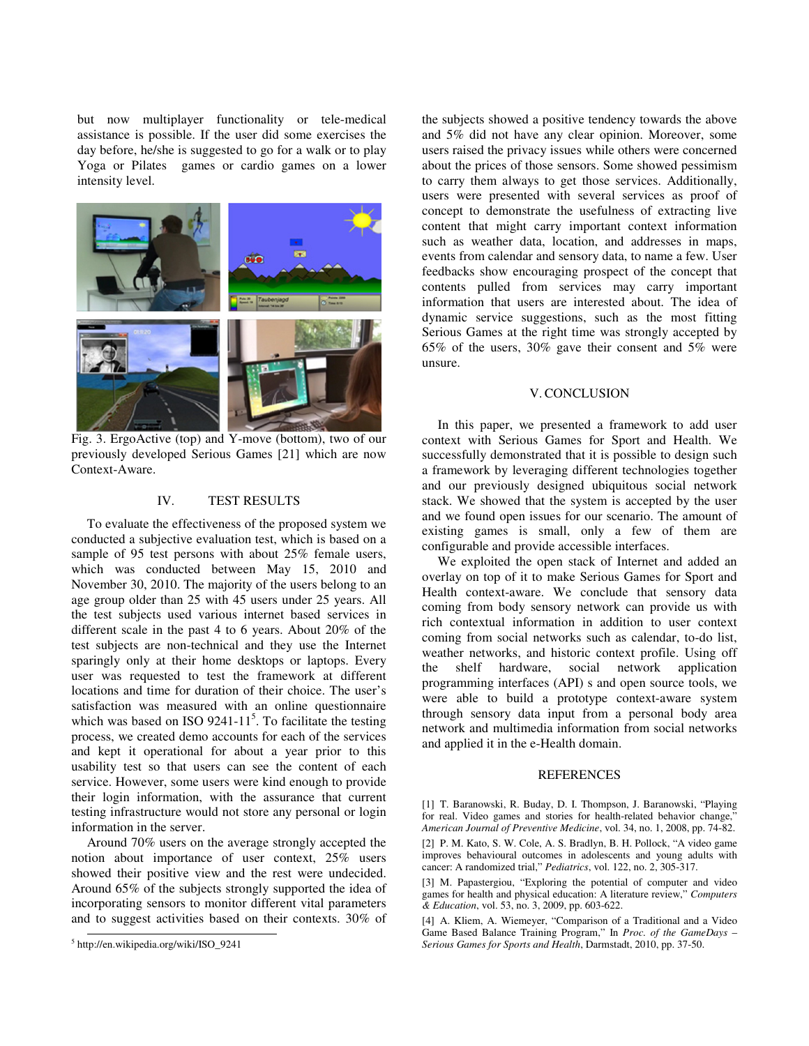but now multiplayer functionality or tele-medical assistance is possible. If the user did some exercises the day before, he/she is suggested to go for a walk or to play Yoga or Pilates games or cardio games on a lower intensity level.



Fig. 3. ErgoActive (top) and Y-move (bottom), two of our previously developed Serious Games [21] which are now Context-Aware.

## IV. TEST RESULTS

To evaluate the effectiveness of the proposed system we conducted a subjective evaluation test, which is based on a sample of 95 test persons with about 25% female users, which was conducted between May 15, 2010 and November 30, 2010. The majority of the users belong to an age group older than 25 with 45 users under 25 years. All the test subjects used various internet based services in different scale in the past 4 to 6 years. About 20% of the test subjects are non-technical and they use the Internet sparingly only at their home desktops or laptops. Every user was requested to test the framework at different locations and time for duration of their choice. The user's satisfaction was measured with an online questionnaire which was based on ISO 9241-11<sup>5</sup>. To facilitate the testing process, we created demo accounts for each of the services and kept it operational for about a year prior to this usability test so that users can see the content of each service. However, some users were kind enough to provide their login information, with the assurance that current testing infrastructure would not store any personal or login information in the server.

Around 70% users on the average strongly accepted the notion about importance of user context, 25% users showed their positive view and the rest were undecided. Around 65% of the subjects strongly supported the idea of incorporating sensors to monitor different vital parameters and to suggest activities based on their contexts. 30% of

the subjects showed a positive tendency towards the above and 5% did not have any clear opinion. Moreover, some users raised the privacy issues while others were concerned about the prices of those sensors. Some showed pessimism to carry them always to get those services. Additionally, users were presented with several services as proof of concept to demonstrate the usefulness of extracting live content that might carry important context information such as weather data, location, and addresses in maps, events from calendar and sensory data, to name a few. User feedbacks show encouraging prospect of the concept that contents pulled from services may carry important information that users are interested about. The idea of dynamic service suggestions, such as the most fitting Serious Games at the right time was strongly accepted by 65% of the users, 30% gave their consent and 5% were unsure.

### V. CONCLUSION

In this paper, we presented a framework to add user context with Serious Games for Sport and Health. We successfully demonstrated that it is possible to design such a framework by leveraging different technologies together and our previously designed ubiquitous social network stack. We showed that the system is accepted by the user and we found open issues for our scenario. The amount of existing games is small, only a few of them are configurable and provide accessible interfaces.

We exploited the open stack of Internet and added an overlay on top of it to make Serious Games for Sport and Health context-aware. We conclude that sensory data coming from body sensory network can provide us with rich contextual information in addition to user context coming from social networks such as calendar, to-do list, weather networks, and historic context profile. Using off the shelf hardware, social network application programming interfaces (API) s and open source tools, we were able to build a prototype context-aware system through sensory data input from a personal body area network and multimedia information from social networks and applied it in the e-Health domain.

#### REFERENCES

[1] T. Baranowski, R. Buday, D. I. Thompson, J. Baranowski, "Playing for real. Video games and stories for health-related behavior change," *American Journal of Preventive Medicine*, vol. 34, no. 1, 2008, pp. 74-82.

 5 http://en.wikipedia.org/wiki/ISO\_9241

<sup>[2]</sup> P. M. Kato, S. W. Cole, A. S. Bradlyn, B. H. Pollock, "A video game improves behavioural outcomes in adolescents and young adults with cancer: A randomized trial," *Pediatrics*, vol. 122, no. 2, 305-317.

<sup>[3]</sup> M. Papastergiou, "Exploring the potential of computer and video games for health and physical education: A literature review," *Computers & Education*, vol. 53, no. 3, 2009, pp. 603-622.

<sup>[4]</sup> A. Kliem, A. Wiemeyer, "Comparison of a Traditional and a Video Game Based Balance Training Program," In *Proc. of the GameDays* – *Serious Games for Sports and Health*, Darmstadt, 2010, pp. 37-50.